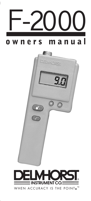



WHEN ACCURACY IS THE POINT.™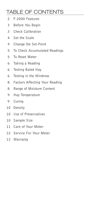### **TABLE OF CONTENTS**

- F-2000 Features  $\mathcal{P}$
- $\overline{3}$ Before You Begin
- $\overline{3}$ Check Calibration
- $\overline{4}$ Set the Scale
- 4 Change the Set-Point
- To Check Accumulated Readings 5
- 5 To Reset Meter
- Taking a Reading 6
- Testing Baled Hay 6
- Testing in the Windrow 6
- Factors Affecting Your Reading 8
- Range of Moisture Content 8
- Hay Temperature 9
- 9 Curing
- 10 Density
- 10 Use of Preservatives
- 10 Sample Size
- 11 Care of Your Meter
- 12 Service For Your Meter
- 13 Warranty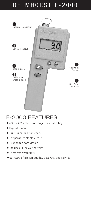# DELMHORST F-2000



## F-2000 FEATURES

- ▶6% to 40% moisture range for alfalfa hay
- Digital readout
- $\blacktriangleright$  Built-in calibration check
- Temperature stable circuit
- Ergonomic case design
- Includes (1) 9-volt battery
- Three year warranty
- $\blacktriangleright$  60 years of proven quality, accuracy and service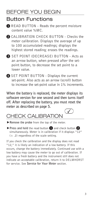## **BEFORE YOU BEGIN**

#### **Button Functions**

- READ BUTTON Reads the percent moisture content value %MC.
- 2 CALIBRATION CHECK BUTTON Checks the meter calibration. Displays the average of up to 100 accumulated readings; displays the highest stored reading; erases the readings.
- SET POINT (DECREASE) BUTTON Acts as an arrow button, when pressed after the setpoint button, to decrease the set point to a lower value.
- **4** SET POINT BUTTON Displays the current set-point. Also acts as an arrow (scroll) button to increase the set-point value in 1% increments.

When the battery is replaced, the meter displays its software version for one second and then turns itself off. After replacing the battery, you must reset the meter as described on page 5.

## **CHECK CALIBRATION**

- Remove the probe from the top of the meter.
- $\triangleright$  Press and hold the read button  $\bigcirc$  and check button  $\bigcirc$ simultaneously. Meter is in calibration if it displays "12"  $(\pm$  .2) regardless of the scale setting.

If you check the calibration and the display does not read "12," it is likely an indication of a low battery. If this occurs, change the battery immediately. Continued use with a low battery may cause the meter to go out of calibration. If you have a fresh battery and the instrument still does not indicate an acceptable calibration, return it to DELMHORST for service. See Service for Your Meter section.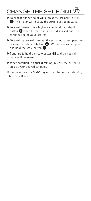## CHANGE THE SET-POINT

 $\blacktriangleright$  To change the set-point value press the set-point button 4. The meter will display the current set-point value.

 $\blacktriangleright$  To scroll forward to a higher value, hold the set-point button  $\overline{4}$  while the current value is displayed and scroll to the set-point value desired.

- To scroll backward through the set-point values, press and release the set-point button  $\overline{4}$ . Within one second press and hold the scale button  $\beta$ .
- Continue to hold the scale button 3 and the set-point value will decrease.
- ▶ When scrolling in either direction, release the button to stop at your desired set-point.

If the meter reads a %MC higher than that of the set-point, a buzzer will sound.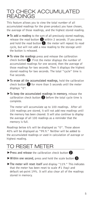#### TO CHECK ACCUMUI ATFD **READINGS**

This feature allows you to view the total number of all accumulated readings for the given product you have chosen, the average of those readings, and the highest stored reading.

- $\blacktriangleright$  To add a reading to the sum of all previously stored readings, release the read button  $\bigoplus$  within 2 seconds. If you press and hold the read button  $\bigoplus$ , the meter will repeat its read cycle, but will not add a new reading to the storage until the button is released.
- $\blacktriangleright$  To view the readings press and release the calibration check button  $\Omega$ . First the meter displays the number of accumulated readings for one second, then the average of those readings for two seconds. Then it displays the highest stored reading for two seconds. The total "cycle" time is five seconds
- $\blacktriangleright$  To erase all the accumulated readings, hold the calibration check button  $\Omega$  for more than 5 seconds until the meter displays "0".
- $\blacktriangleright$  To keep the accumulated readings in memory, release the calibration check button  $\Omega$  before the total cycle time is complete.

The meter will accumulate up to 100 readings. After all 100 readings are stored, it will not add new readings until the memory has been cleared. It will also continue to display the average of all 100 readings as a reminder that the memory is full.

Readings below 6% will be displayed as "0". Those above 40% will be displayed as "99.9." Neither will be added to the accumulated readings or used in calculation of average or highest reading.

## **RESET METER**

- $\triangleright$  Press and release the calibration check button  $\Omega$ .
- $\triangleright$  Within one second, press and hold the scale button  $\triangleright$ .
- The meter will reset itself and display "119." This indicates that the meter has been reset to scale  $#1$  (hay) and default set-point 19%. It will also clear all of the readings stored in memory.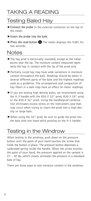## **TAKING A READING**

### **Testing Baled Hav**

- $\triangleright$  Connect the probe to the external connector on the top of the meter.
- $\blacktriangleright$  Insert the probe into the bale.
- ▶ Press the read button 1 The meter displays the % MC for two seconds.

#### **Notes**

- The hay prod is electrically insulated, except at the metal points near the tip. The moisture content measured represents the hay in contact with the tip of the prod only.
- $\blacktriangleright$  Partially cured hay may have wide variations in moisture content throughout the bale. Readings should be taken in several different parts of the bale and the highest readings used as a quideline. The arrangement and compaction of hay fibers in a bale may have an effect on meter readings.
- $\blacktriangleright$  If you are testing high density bales, we recommend using the H-3 handle with the 830-2 10" prod, 830-3 18" prod, or the 830-4 36" prod. Using the handle/prod combination eliminates excess stress on the instrument case that may occur when trying to insert the prod into a high density or large bale.
- $\blacktriangleright$  When using the 36" prod, be sure to guide the prod into the bale with one hand while pushing on the H-3 handle.

## Testing in the Windrow

When testing in the windrow, push down on the pressure button until the palm of your hand touches the screw that holds the button in place. The pressure button depresses a calibrated spring inside the handle. When the screw touches the palm of your hand, the pressure applied on the sample is  $27 - 30$  lbs., which closely simulates the pressure in a standard bale of hav.

There are three ways to test moisture content in the windrow: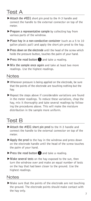#### Test A

- Attach the #831 short pin prod to the H-3 handle and connect the handle to the external connector on top of the meter.
- $\blacktriangleright$  Prepare a representative sample by collecting hay from various parts of the windrow.
- $\triangleright$  Place hav in a non-conductive container (such as a 5 to 10 gallon plastic pail) and apply the short pin prod to the hay.
- $\triangleright$  Press down on the electrode until the head of the screw which holds the pressure button, touches the palm of your hand.
- $\triangleright$  Press the read button  $\bigcirc$  and take a reading.
- $\blacktriangleright$  Mix the sample once again and take at least two more readings. Use the highest readings.

#### **Notes**

- $\blacktriangleright$  Whenever pressure is being applied on the electrode, be sure that the points of the electrode are touching nothing but the hav.
- $\blacktriangleright$  Repeat the steps above if considerable variations are found in the meter readings. To reduce these variations, chop the hay, mix it thoroughly and take several readings by following the procedures above. This will make the moisture distribution in the sample more uniform.

#### **Test B**

- $\blacktriangleright$  Attach the #831 short pin prod to the H-3 handle and connect the handle to the external connector on top of the meter.
- $\blacktriangleright$  Apply the prod to the hay in the windrow and press down on the electrode handle until the head of the screw touches the palm of your hand.
- $\triangleright$  Press the read button  $\bigcirc$  and take a reading.
- $\blacktriangleright$  Make several tests on the hay exposed to the sun, then turn the windrow over and make an equal number of tests on the hay that had been closer to the ground. Use the highest readings.

#### **Notes**

Make sure that the points of the electrode are not touching the ground. The electrode points should make contact with the hay only.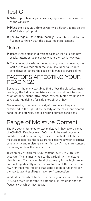### Test C

- $\triangleright$  Select up to five large, slower-drying stems from a section of the windrow.
- $\blacktriangleright$  Place them one at a time across two adjacent points on the # 831 short pin prod.
- $\blacktriangleright$  The average of these stem readings should be about two to five points higher than the actual moisture content.

#### **Notes**

- $\blacktriangleright$  Repeat these steps in different parts of the field and pay special attention to the areas where the hay is heaviest.
- $\blacktriangleright$  The amount of variation found among windrow readings as well as the average stem moisture should be taken into consideration before the decision is made to start baling.

#### **FACTORS AFFECTING YOUR READINGS**

Because of the many variables that affect the electrical meter readings, the indicated moisture content should not be used as an absolute quantitative measurement. Meter readings are very useful guidelines for safe storability of hay.

Meter readings become more significant when they are considered in the light of the density of the bales, anticipated handling and storage, and prevailing climate conditions.

## Range of Moisture Content

The F-2000 is designed to test moisture in hay over a range of 6%-40%. Readings over 30% should be used only as a qualitative indication of high moisture content. Delmhorst moisture meters use the relationship existing between electrical conductivity and moisture content in hay. As moisture content increases, so does the conductivity.

Tests on hay at high moisture content, over 25%, are less accurate. This is mostly due to the variability in moisture distribution. The reduced level of accuracy in the high range does not significantly affect the usefulness of the meter, as a few high readings indicate that some action be taken to dry the hay to avoid spoilage or even self-combustion.

While it is important to note the average of several readings, it is even more important to note the high readings and the frequency at which they occur.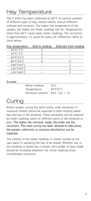## **Hay Temperature**

The F-2000 has been calibrated at 80°F on various samples of different types of hay, mostly alfalfa, and on different cuttings and mixtures. The higher the temperature of the sample, the higher the meter readings will be. Temperatures lower than 80°F cause lower meter readings. The correction is approximately 1% point for every 20° difference. Refer to chart below:

| Subtract from reading |
|-----------------------|
|                       |
|                       |
|                       |
|                       |
|                       |
|                       |
|                       |
|                       |

Example

| Meter reading:                    | 22%                           |
|-----------------------------------|-------------------------------|
| Temperature:                      | $40^{\circ}$ F/5 $^{\circ}$ C |
| Moisture Content: $24\%$ (22 + 2) |                               |

## Curina

Before proper curing has taken place, wide variations in moisture content should be expected in both recently baled hay and hay in the windrow. These variations will be exposed by meter readings taken on different parts of the windrow or bale. The higher the moisture range, the wider are the variations. The more curing has been allowed to take place. the greater uniformity in moisture distribution can be expected.

The validity of the meter readings is closely related to the care spent in sampling the hay to be tested. Whether hay in the windrow or baled hay is tested, the number of tests made should be increased whenever the initial readings show considerable variations.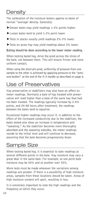## **Densitv**

The calibration of the moisture testers applies to bales of normal "average' density. Generally:

- Denser bales may yield readings 1-2% points higher.
- ▶ Looser bales tend to yield 1-2% point lower.
- Tests in stacks usually yield readings 2%-3% lower.
- Tests on grass hay may yield readings about 3% lower.

Baling should be done according to the lower meter reading.

When testing baled hay, drive the prod across the slices of the bale, not between them. This will ensure firmer and more uniform contact.

When using the short pin prod, uniformity of pressure from one sample to the other is achieved by applying pressure to the "pressure button" at the end of the H-3 handle as described on page 6.

## Use of Preservatives

Hay preservative or stabilizers may also have an affect on meter readings. Normally a bale of hay treated with preservative will read higher than a bale of the same hay that had not been treated. The readings typically increase by 2-4% points, and 24-48 hours after treatment, the readings between the bales tend to equalize.

Occasional higher readings may occur if, in addition to the effect of the increased conductivity due to the stabilizer, the bales tested also show an increase in temperature and "sweating." As the stabilizer becomes more thoroughly absorbed and the sweating subsides, the meter readings recede to the initial level and will continue to decrease, assuming that the bale becomes progressively dryer.

## Sample Size

When testing baled hay, it is essential to take readings at several different points in the bale. Hay moisture may vary a great deal in the same bale. For example, at one point bale moisture may be 20% and at another over 35%.

More tests must be made whenever the variations among readings are greater. If there is a possibility of high moisture areas, samples from these locations should be taken. Areas of high moisture content will spoil, resulting in loss.

It is extremely important to note the high readings and the frequency at which they occur.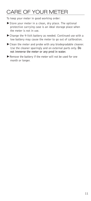## **CARE OF YOUR METER**

To keep your meter in good working order:

- Store your meter in a clean, dry place. The optional protective carrying case is an ideal storage place when the meter is not in use.
- ▶ Change the 9-Volt battery as needed. Continued use with a low battery may cause the meter to go out of calibration.
- $\blacktriangleright$  Clean the meter and probe with any biodegradable cleaner. Use the cleaner sparingly and on external parts only. Do not immerse the meter or any prod in water.
- Remove the battery if the meter will not be used for one month or longer.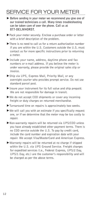## **SERVICE FOR YOUR METER**

- ▶ Before sending in your meter we recommend you give one of our trained technicians a call. Many times troubleshooting can be taken care of over the phone. Call us at 877-DELMHORST.
- ▶ Pack your meter securely. Enclose a purchase order or letter with a brief description of the problem.
- There is no need to call us for a return authorization number if you are within the U.S. Customers outside the U.S. must contact us for more specific instructions prior to returning a meter.
- Include your name, address, daytime phone and fax numbers or e-mail address. If you believe the meter is under warranty, please provide the original sales slip or invoice.
- Ship via UPS, Express Mail, Priority Mail, or any overnight courier who provides prompt service. Do not use standard parcel post.
- Insure your instrument for its full value and ship prepaid. We are not responsible for damage in transit.
- $\blacktriangleright$  We do not accept COD shipments or cover any incoming freight or duty charges on returned merchandise.
- Turnaround time on repairs is approximately two weeks.
- $\blacktriangleright$  We will call you with an estimate if you specifically request one, or if we determine that the meter may be too costly to repair.
- Non-warranty repairs will be returned via UPS/COD unless you have already established other payment terms. There is no COD service outside the U.S. To pay by credit card, include the card number and expiration date with your repair. We accept Visa/MasterCard and American Express.
- $\blacktriangleright$  Warranty repairs will be returned at no charge if shipped within the U.S. via UPS Ground Service. Freight charges for expedited services (i.e., Federal Express, UPS/2 Day, UPS/1 Day, etc.) are the customer's responsibility and will be charged as per the above terms.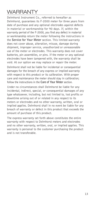## **WARRANTY**

Delmhorst Instrument Co., referred to hereafter as Delmhorst, guarantees its F-2000 meter for three years from date of purchase and any optional electrodes against defects in material or workmanship for 90 days. If, within the warranty period of the F-2000, you find any defect in material or workmanship return the meter following the instructions in the Service for Your Meter section. This limited warranty does not cover abuse, alteration, misuse, damage during shipment, improper service, unauthorized or unreasonable use of the meter or electrodes. This warranty does not cover batteries, pin assemblies, or pins. If the meter or any optional electrodes have been tampered with, the warranty shall be void. At our option we may replace or repair the meter.

Delmhorst shall not be liable for incidental or consequential damages for the breach of any express or implied warranty with respect to this product or its calibration. With proper care and maintenance the meter should stay in calibration; follow the instructions in the Care of Your Meter section.

Under no circumstances shall Delmhorst be liable for any incidental, indirect, special, or consequential damages of any type whatsoever, including, but not limited to, lost profits or downtime arising out of or related in any respect to its meters or electrodes and no other warranty, written, oral or implied applies. Delmhorst shall in no event be liable for any breach of warranty or defect in this product that exceeds the amount of purchase of this product.

The express warranty set forth above constitutes the entire warranty with respect to Delmhorst meters and electrodes and no other warranty, written, oral, or implied applies. This warranty is personal to the customer purchasing the product and is not transferable.